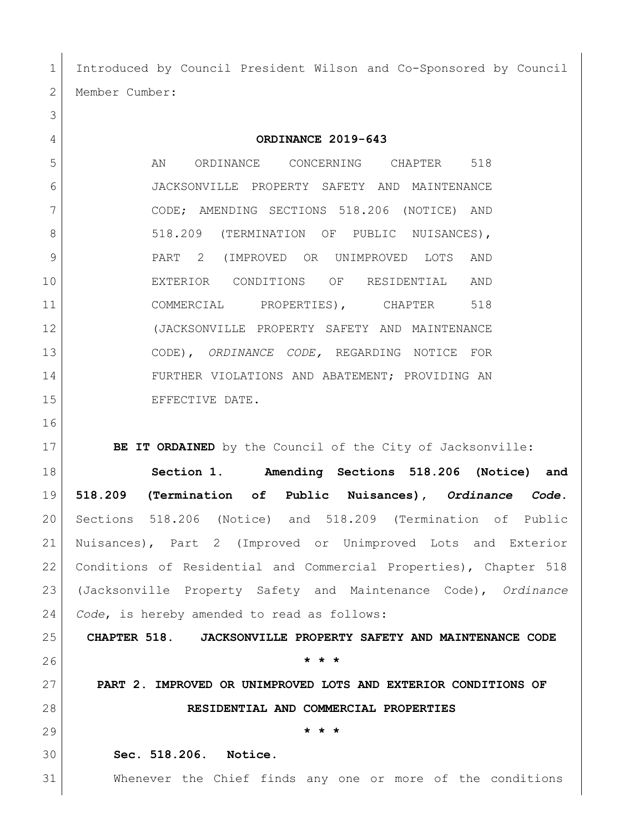Introduced by Council President Wilson and Co-Sponsored by Council Member Cumber:

**ORDINANCE 2019-643**

5 AN ORDINANCE CONCERNING CHAPTER 518 JACKSONVILLE PROPERTY SAFETY AND MAINTENANCE CODE; AMENDING SECTIONS 518.206 (NOTICE) AND 8 518.209 (TERMINATION OF PUBLIC NUISANCES), PART 2 (IMPROVED OR UNIMPROVED LOTS AND EXTERIOR CONDITIONS OF RESIDENTIAL AND 11 COMMERCIAL PROPERTIES), CHAPTER 518 (JACKSONVILLE PROPERTY SAFETY AND MAINTENANCE CODE), *ORDINANCE CODE,* REGARDING NOTICE FOR FURTHER VIOLATIONS AND ABATEMENT; PROVIDING AN 15 EFFECTIVE DATE.

**BE IT ORDAINED** by the Council of the City of Jacksonville:

 **Section 1. Amending Sections 518.206 (Notice) and 518.209 (Termination of Public Nuisances),** *Ordinance Code.* Sections 518.206 (Notice) and 518.209 (Termination of Public Nuisances), Part 2 (Improved or Unimproved Lots and Exterior Conditions of Residential and Commercial Properties), Chapter 518 (Jacksonville Property Safety and Maintenance Code), *Ordinance Code*, is hereby amended to read as follows:

 **CHAPTER 518. JACKSONVILLE PROPERTY SAFETY AND MAINTENANCE CODE \* \* \***

 **PART 2. IMPROVED OR UNIMPROVED LOTS AND EXTERIOR CONDITIONS OF RESIDENTIAL AND COMMERCIAL PROPERTIES**

**\* \* \***

**Sec. 518.206. Notice.**

Whenever the Chief finds any one or more of the conditions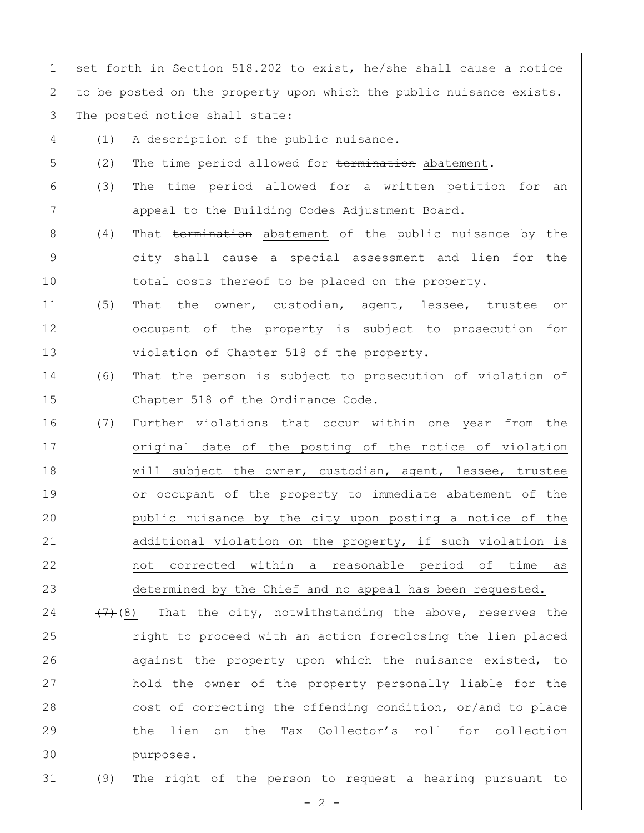1 set forth in Section 518.202 to exist, he/she shall cause a notice 2 to be posted on the property upon which the public nuisance exists. 3 The posted notice shall state:

- 4 (1) A description of the public nuisance. 5 (2) The time period allowed for termination abatement. 6 (3) The time period allowed for a written petition for an 7 appeal to the Building Codes Adjustment Board. 8 (4) That termination abatement of the public nuisance by the 9 city shall cause a special assessment and lien for the 10 total costs thereof to be placed on the property. 11 (5) That the owner, custodian, agent, lessee, trustee or 12 occupant of the property is subject to prosecution for 13 violation of Chapter 518 of the property. 14 (6) That the person is subject to prosecution of violation of 15 Chapter 518 of the Ordinance Code. 16 (7) Further violations that occur within one year from the 17 original date of the posting of the notice of violation 18 Will subject the owner, custodian, agent, lessee, trustee 19 or occupant of the property to immediate abatement of the 20 public nuisance by the city upon posting a notice of the 21 additional violation on the property, if such violation is 22 not corrected within a reasonable period of time as 23 determined by the Chief and no appeal has been requested. 24  $(7)$ (8) That the city, notwithstanding the above, reserves the 25 right to proceed with an action foreclosing the lien placed 26 against the property upon which the nuisance existed, to 27 hold the owner of the property personally liable for the
- 29 the lien on the Tax Collector's roll for collection 30 purposes.

28 cost of correcting the offending condition, or/and to place

31 (9) The right of the person to request a hearing pursuant to